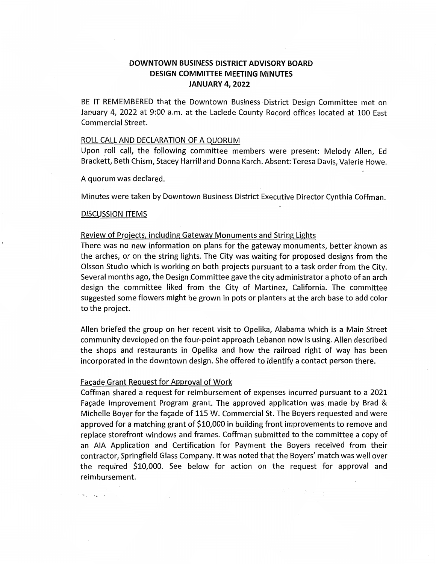# **DOWNTOWN BUSINESS DISTRICT ADVISORY BOARD DESIGN COMMITTEE MEETING MINUTES JANUARY 4, 2022**

BE IT REMEMBERED that the Downtown Business District Design Committee met on January 4, 2022 at 9:00 a.m. at the Laclede County Record offices located at 100 East Commercial Street.

#### ROLL CALL AND DECLARATION OF A QUORUM

Upon roll call, the following committee members were present: Melody Allen, Ed Brackett, Beth Chism, Stacey Harrill and Donna Karch. Absent: Teresa Davis, Valerie Howe.

A quorum was dedared.

Minutes were taken by Downtown Business District Executive Director Cynthia Coffman.

#### DISCUSSION ITEMS

 $\mathcal{O}(\Phi_{\mathcal{A}}) = \mathcal{O}(\frac{1}{\Phi_{\mathcal{A}}}) \quad \text{for} \quad \mathcal{O}(\mathcal{A}) \leq \mathcal{O}(\mathcal{A}).$ 

### Review of Projects, including Gateway Monuments and String Lights

There was no new information on plans for the gateway monuments, better known as the arches, or on the string lights. The City was waiting for proposed designs from the Olsson Studio which is working on both projects pursuant to a task order from the City. Several months ago, the Design Committee gave the city administrator a photo of an arch design the committee liked from the City of Martinez, California. The committee suggested some flowers might be grown in pots or planters at the arch base to add color to the project.

Allen briefed the group on her recent visit to Opelika, Alabama which is a Main Street community developed on the four-point approach Lebanon now is using. Allen described the shops and restaurants in Opelika and how the railroad right of way has been incorporated in the downtown design. She offered to identify a contact person there.

#### Facade Grant Request for Approval of Work

Coffman shared a request for reimbursement of expenses incurred pursuant to a 2021 Facade Improvement Program grant. The approved application was made by Brad & Michelle Boyer for the façade of 115 W. Commercial St. The Boyers requested and were approved for a matching grant of \$10,000 in building front improvements to remove and replace storefront windows and frames. Coffman submitted to the committee a copy of an AIA Application and Certification for Payment the Boyers received from their contractor, Springfield Glass Company. It was noted that the Boyers' match was well over the required \$10,000. See below for action on the request for approval and reimbursement.

**ATT SERVICE**